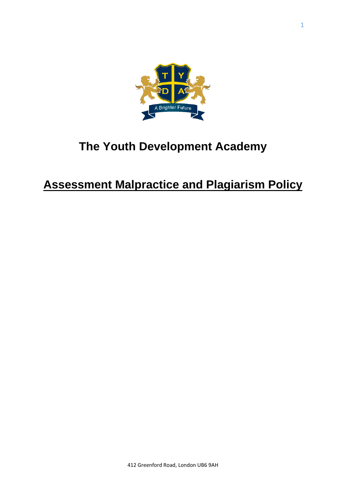

# **The Youth Development Academy**

# **Assessment Malpractice and Plagiarism Policy**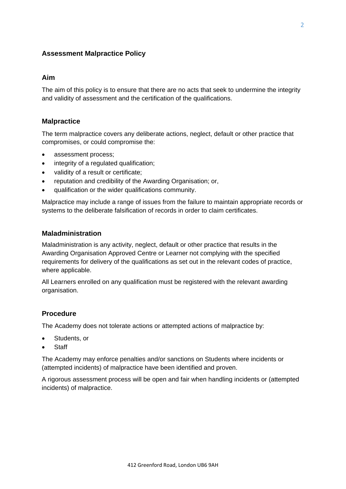# **Assessment Malpractice Policy**

## **Aim**

The aim of this policy is to ensure that there are no acts that seek to undermine the integrity and validity of assessment and the certification of the qualifications.

# **Malpractice**

The term malpractice covers any deliberate actions, neglect, default or other practice that compromises, or could compromise the:

- assessment process;
- integrity of a regulated qualification;
- validity of a result or certificate;
- reputation and credibility of the Awarding Organisation; or,
- qualification or the wider qualifications community.

Malpractice may include a range of issues from the failure to maintain appropriate records or systems to the deliberate falsification of records in order to claim certificates.

## **Maladministration**

Maladministration is any activity, neglect, default or other practice that results in the Awarding Organisation Approved Centre or Learner not complying with the specified requirements for delivery of the qualifications as set out in the relevant codes of practice, where applicable.

All Learners enrolled on any qualification must be registered with the relevant awarding organisation.

# **Procedure**

The Academy does not tolerate actions or attempted actions of malpractice by:

- Students, or
- **Staff**

The Academy may enforce penalties and/or sanctions on Students where incidents or (attempted incidents) of malpractice have been identified and proven.

A rigorous assessment process will be open and fair when handling incidents or (attempted incidents) of malpractice.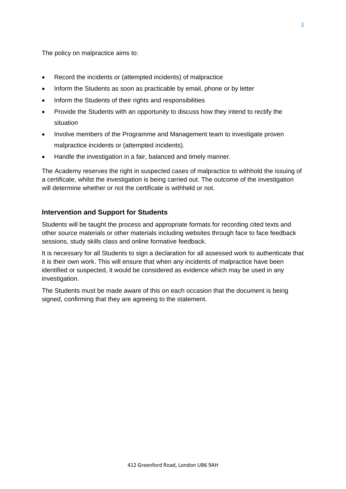The policy on malpractice aims to:

- Record the incidents or (attempted incidents) of malpractice
- Inform the Students as soon as practicable by email, phone or by letter
- Inform the Students of their rights and responsibilities
- Provide the Students with an opportunity to discuss how they intend to rectify the situation
- Involve members of the Programme and Management team to investigate proven malpractice incidents or (attempted incidents).
- Handle the investigation in a fair, balanced and timely manner.

The Academy reserves the right in suspected cases of malpractice to withhold the issuing of a certificate, whilst the investigation is being carried out. The outcome of the investigation will determine whether or not the certificate is withheld or not.

#### **Intervention and Support for Students**

Students will be taught the process and appropriate formats for recording cited texts and other source materials or other materials including websites through face to face feedback sessions, study skills class and online formative feedback.

It is necessary for all Students to sign a declaration for all assessed work to authenticate that it is their own work. This will ensure that when any incidents of malpractice have been identified or suspected, it would be considered as evidence which may be used in any investigation.

The Students must be made aware of this on each occasion that the document is being signed, confirming that they are agreeing to the statement.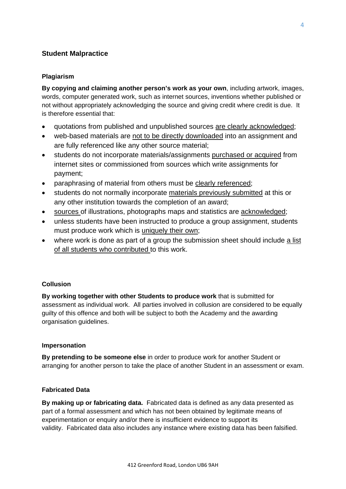# **Student Malpractice**

## **Plagiarism**

**By copying and claiming another person's work as your own**, including artwork, images, words, computer generated work, such as internet sources, inventions whether published or not without appropriately acknowledging the source and giving credit where credit is due. It is therefore essential that:

- quotations from published and unpublished sources are clearly acknowledged;
- web-based materials are not to be directly downloaded into an assignment and are fully referenced like any other source material;
- students do not incorporate materials/assignments purchased or acquired from internet sites or commissioned from sources which write assignments for payment;
- paraphrasing of material from others must be clearly referenced;
- students do not normally incorporate materials previously submitted at this or any other institution towards the completion of an award;
- sources of illustrations, photographs maps and statistics are acknowledged;
- unless students have been instructed to produce a group assignment, students must produce work which is uniquely their own;
- where work is done as part of a group the submission sheet should include a list of all students who contributed to this work.

#### **Collusion**

**By working together with other Students to produce work** that is submitted for assessment as individual work. All parties involved in collusion are considered to be equally guilty of this offence and both will be subject to both the Academy and the awarding organisation guidelines.

#### **Impersonation**

**By pretending to be someone else** in order to produce work for another Student or arranging for another person to take the place of another Student in an assessment or exam.

#### **Fabricated Data**

**By making up or fabricating data.** Fabricated data is defined as any data presented as part of a formal assessment and which has not been obtained by legitimate means of experimentation or enquiry and/or there is insufficient evidence to support its validity. Fabricated data also includes any instance where existing data has been falsified.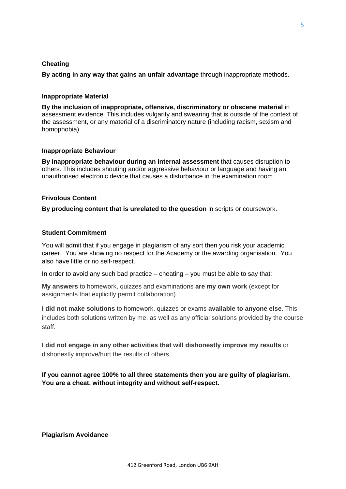#### **Cheating**

**By acting in any way that gains an unfair advantage** through inappropriate methods.

#### **Inappropriate Material**

**By the inclusion of inappropriate, offensive, discriminatory or obscene material** in assessment evidence. This includes vulgarity and swearing that is outside of the context of the assessment, or any material of a discriminatory nature (including racism, sexism and homophobia).

#### **Inappropriate Behaviour**

**By inappropriate behaviour during an internal assessment** that causes disruption to others. This includes shouting and/or aggressive behaviour or language and having an unauthorised electronic device that causes a disturbance in the examination room.

#### **Frivolous Content**

**By producing content that is unrelated to the question** in scripts or coursework.

#### **Student Commitment**

You will admit that if you engage in plagiarism of any sort then you risk your academic career. You are showing no respect for the Academy or the awarding organisation. You also have little or no self-respect.

In order to avoid any such bad practice – cheating – you must be able to say that:

**My answers** to homework, quizzes and examinations **are my own work** (except for assignments that explicitly permit collaboration).

**I did not make solutions** to homework, quizzes or exams **available to anyone else**. This includes both solutions written by me, as well as any official solutions provided by the course staff.

**I did not engage in any other activities that will dishonestly improve my results** or dishonestly improve/hurt the results of others.

**If you cannot agree 100% to all three statements then you are guilty of plagiarism. You are a cheat, without integrity and without self-respect.**

#### **Plagiarism Avoidance**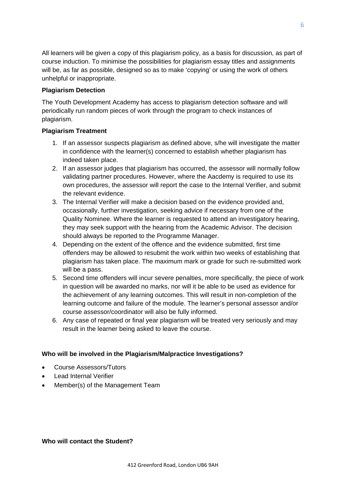All learners will be given a copy of this plagiarism policy, as a basis for discussion, as part of course induction. To minimise the possibilities for plagiarism essay titles and assignments will be, as far as possible, designed so as to make 'copying' or using the work of others unhelpful or inappropriate.

# **Plagiarism Detection**

The Youth Development Academy has access to plagiarism detection software and will periodically run random pieces of work through the program to check instances of plagiarism.

# **Plagiarism Treatment**

- 1. If an assessor suspects plagiarism as defined above, s/he will investigate the matter in confidence with the learner(s) concerned to establish whether plagiarism has indeed taken place.
- 2. If an assessor judges that plagiarism has occurred, the assessor will normally follow validating partner procedures. However, where the Aacdemy is required to use its own procedures, the assessor will report the case to the Internal Verifier, and submit the relevant evidence.
- 3. The Internal Verifier will make a decision based on the evidence provided and, occasionally, further investigation, seeking advice if necessary from one of the Quality Nominee. Where the learner is requested to attend an investigatory hearing, they may seek support with the hearing from the Academic Advisor. The decision should always be reported to the Programme Manager.
- 4. Depending on the extent of the offence and the evidence submitted, first time offenders may be allowed to resubmit the work within two weeks of establishing that plagiarism has taken place. The maximum mark or grade for such re-submitted work will be a pass.
- 5. Second time offenders will incur severe penalties, more specifically, the piece of work in question will be awarded no marks, nor will it be able to be used as evidence for the achievement of any learning outcomes. This will result in non-completion of the learning outcome and failure of the module. The learner's personal assessor and/or course assessor/coordinator will also be fully informed.
- 6. Any case of repeated or final year plagiarism will be treated very seriously and may result in the learner being asked to leave the course.

# **Who will be involved in the Plagiarism/Malpractice Investigations?**

- Course Assessors/Tutors
- Lead Internal Verifier
- Member(s) of the Management Team

# **Who will contact the Student?**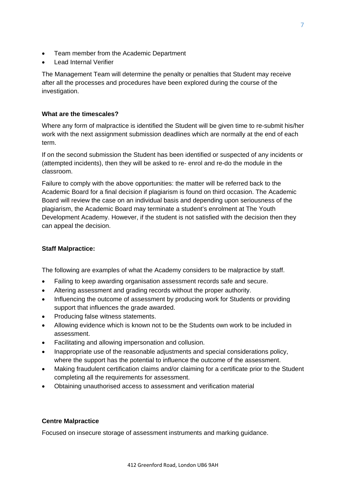- Team member from the Academic Department
- **Lead Internal Verifier**

The Management Team will determine the penalty or penalties that Student may receive after all the processes and procedures have been explored during the course of the investigation.

# **What are the timescales?**

Where any form of malpractice is identified the Student will be given time to re-submit his/her work with the next assignment submission deadlines which are normally at the end of each term.

If on the second submission the Student has been identified or suspected of any incidents or (attempted incidents), then they will be asked to re- enrol and re-do the module in the classroom.

Failure to comply with the above opportunities: the matter will be referred back to the Academic Board for a final decision if plagiarism is found on third occasion. The Academic Board will review the case on an individual basis and depending upon seriousness of the plagiarism, the Academic Board may terminate a student's enrolment at The Youth Development Academy. However, if the student is not satisfied with the decision then they can appeal the decision.

# **Staff Malpractice:**

The following are examples of what the Academy considers to be malpractice by staff.

- Failing to keep awarding organisation assessment records safe and secure.
- Altering assessment and grading records without the proper authority.
- Influencing the outcome of assessment by producing work for Students or providing support that influences the grade awarded.
- Producing false witness statements.
- Allowing evidence which is known not to be the Students own work to be included in assessment.
- Facilitating and allowing impersonation and collusion.
- Inappropriate use of the reasonable adjustments and special considerations policy, where the support has the potential to influence the outcome of the assessment.
- Making fraudulent certification claims and/or claiming for a certificate prior to the Student completing all the requirements for assessment.
- Obtaining unauthorised access to assessment and verification material

#### **Centre Malpractice**

Focused on insecure storage of assessment instruments and marking guidance.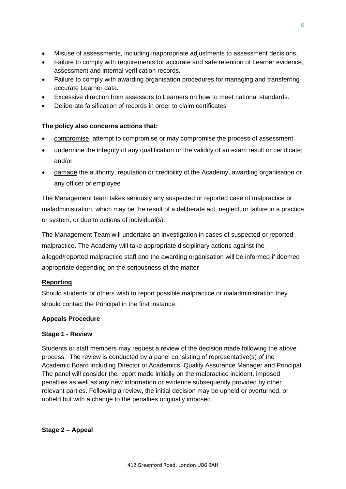- Misuse of assessments, including inappropriate adjustments to assessment decisions.
- Failure to comply with requirements for accurate and safe retention of Learner evidence, assessment and internal verification records.
- Failure to comply with awarding organisation procedures for managing and transferring accurate Learner data.
- Excessive direction from assessors to Learners on how to meet national standards.
- Deliberate falsification of records in order to claim certificates

# **The policy also concerns actions that:**

- compromise, attempt to compromise or may compromise the process of assessment
- undermine the integrity of any qualification or the validity of an exam result or certificate; and/or
- damage the authority, reputation or credibility of the Academy, awarding organisation or any officer or employee

The Management team takes seriously any suspected or reported case of malpractice or maladministration, which may be the result of a deliberate act, neglect, or failure in a practice or system, or due to actions of individual(s).

The Management Team will undertake an investigation in cases of suspected or reported malpractice. The Academy will take appropriate disciplinary actions against the alleged/reported malpractice staff and the awarding organisation will be informed if deemed appropriate depending on the seriousness of the matter

# **Reporting**

Should students or others wish to report possible malpractice or maladministration they should contact the Principal in the first instance.

# **Appeals Procedure**

# **Stage 1 - Review**

Students or staff members may request a review of the decision made following the above process. The review is conducted by a panel consisting of representative(s) of the Academic Board including Director of Academics, Quality Assurance Manager and Principal. The panel will consider the report made initially on the malpractice incident, imposed penalties as well as any new information or evidence subsequently provided by other relevant parties. Following a review, the initial decision may be upheld or overturned, or upheld but with a change to the penalties originally imposed.

**Stage 2 – Appeal**